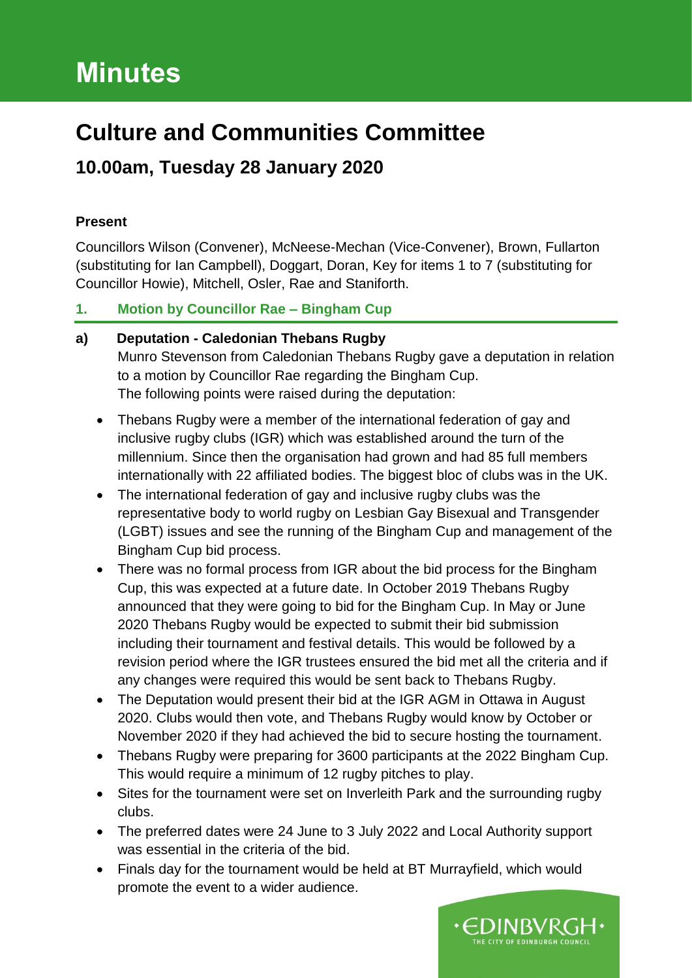# **Minutes**

## **Culture and Communities Committee**

## **10.00am, Tuesday 28 January 2020**

## **Present**

Councillors Wilson (Convener), McNeese-Mechan (Vice-Convener), Brown, Fullarton (substituting for Ian Campbell), Doggart, Doran, Key for items 1 to 7 (substituting for Councillor Howie), Mitchell, Osler, Rae and Staniforth.

## **1. Motion by Councillor Rae – Bingham Cup**

## **a) Deputation - Caledonian Thebans Rugby** Munro Stevenson from Caledonian Thebans Rugby gave a deputation in relation to a motion by Councillor Rae regarding the Bingham Cup. The following points were raised during the deputation:

- Thebans Rugby were a member of the international federation of gay and inclusive rugby clubs (IGR) which was established around the turn of the millennium. Since then the organisation had grown and had 85 full members internationally with 22 affiliated bodies. The biggest bloc of clubs was in the UK.
- The international federation of gay and inclusive rugby clubs was the representative body to world rugby on Lesbian Gay Bisexual and Transgender (LGBT) issues and see the running of the Bingham Cup and management of the Bingham Cup bid process.
- There was no formal process from IGR about the bid process for the Bingham Cup, this was expected at a future date. In October 2019 Thebans Rugby announced that they were going to bid for the Bingham Cup. In May or June 2020 Thebans Rugby would be expected to submit their bid submission including their tournament and festival details. This would be followed by a revision period where the IGR trustees ensured the bid met all the criteria and if any changes were required this would be sent back to Thebans Rugby.
- The Deputation would present their bid at the IGR AGM in Ottawa in August 2020. Clubs would then vote, and Thebans Rugby would know by October or November 2020 if they had achieved the bid to secure hosting the tournament.
- Thebans Rugby were preparing for 3600 participants at the 2022 Bingham Cup. This would require a minimum of 12 rugby pitches to play.
- Sites for the tournament were set on Inverleith Park and the surrounding rugby clubs.
- The preferred dates were 24 June to 3 July 2022 and Local Authority support was essential in the criteria of the bid.
- Finals day for the tournament would be held at BT Murrayfield, which would promote the event to a wider audience.

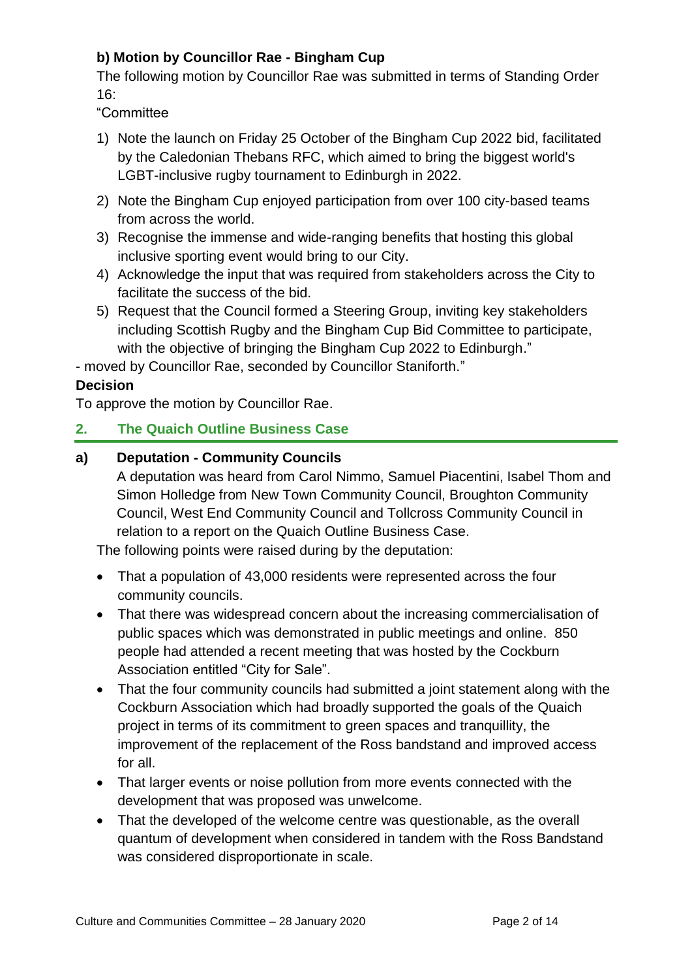## **b) Motion by Councillor Rae - Bingham Cup**

The following motion by Councillor Rae was submitted in terms of Standing Order 16:

"Committee

- 1) Note the launch on Friday 25 October of the Bingham Cup 2022 bid, facilitated by the Caledonian Thebans RFC, which aimed to bring the biggest world's LGBT-inclusive rugby tournament to Edinburgh in 2022.
- 2) Note the Bingham Cup enjoyed participation from over 100 city-based teams from across the world.
- 3) Recognise the immense and wide-ranging benefits that hosting this global inclusive sporting event would bring to our City.
- 4) Acknowledge the input that was required from stakeholders across the City to facilitate the success of the bid.
- 5) Request that the Council formed a Steering Group, inviting key stakeholders including Scottish Rugby and the Bingham Cup Bid Committee to participate, with the objective of bringing the Bingham Cup 2022 to Edinburgh."

- moved by Councillor Rae, seconded by Councillor Staniforth."

### **Decision**

To approve the motion by Councillor Rae.

### **2. The Quaich Outline Business Case**

#### **a) Deputation - Community Councils**

A deputation was heard from Carol Nimmo, Samuel Piacentini, Isabel Thom and Simon Holledge from New Town Community Council, Broughton Community Council, West End Community Council and Tollcross Community Council in relation to a report on the Quaich Outline Business Case.

The following points were raised during by the deputation:

- That a population of 43,000 residents were represented across the four community councils.
- That there was widespread concern about the increasing commercialisation of public spaces which was demonstrated in public meetings and online. 850 people had attended a recent meeting that was hosted by the Cockburn Association entitled "City for Sale".
- That the four community councils had submitted a joint statement along with the Cockburn Association which had broadly supported the goals of the Quaich project in terms of its commitment to green spaces and tranquillity, the improvement of the replacement of the Ross bandstand and improved access for all.
- That larger events or noise pollution from more events connected with the development that was proposed was unwelcome.
- That the developed of the welcome centre was questionable, as the overall quantum of development when considered in tandem with the Ross Bandstand was considered disproportionate in scale.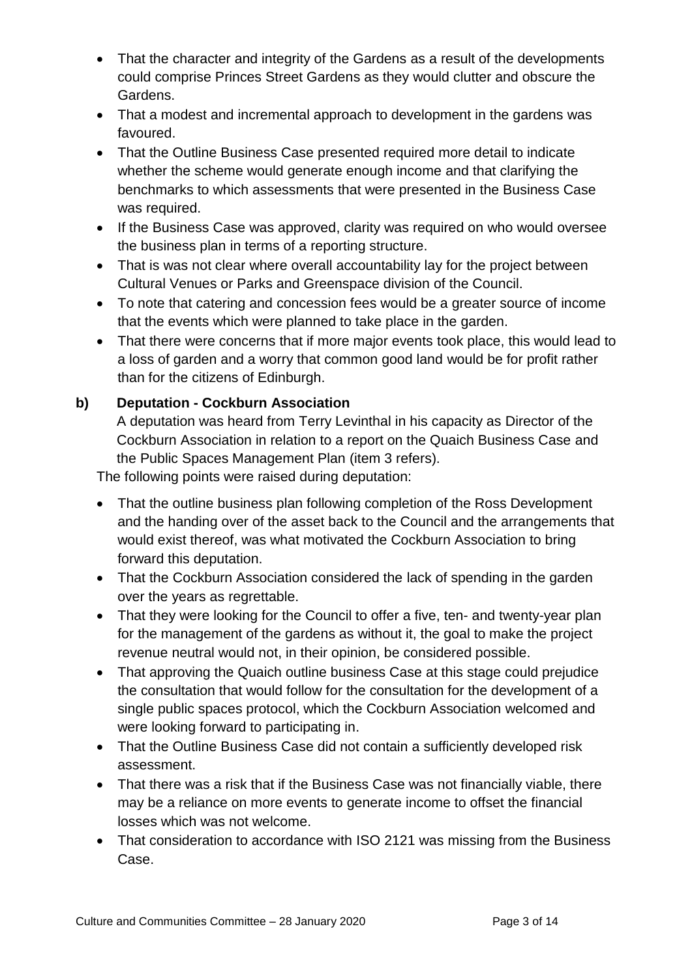- That the character and integrity of the Gardens as a result of the developments could comprise Princes Street Gardens as they would clutter and obscure the Gardens.
- That a modest and incremental approach to development in the gardens was favoured.
- That the Outline Business Case presented required more detail to indicate whether the scheme would generate enough income and that clarifying the benchmarks to which assessments that were presented in the Business Case was required.
- If the Business Case was approved, clarity was required on who would oversee the business plan in terms of a reporting structure.
- That is was not clear where overall accountability lay for the project between Cultural Venues or Parks and Greenspace division of the Council.
- To note that catering and concession fees would be a greater source of income that the events which were planned to take place in the garden.
- That there were concerns that if more major events took place, this would lead to a loss of garden and a worry that common good land would be for profit rather than for the citizens of Edinburgh.

## **b) Deputation - Cockburn Association**

A deputation was heard from Terry Levinthal in his capacity as Director of the Cockburn Association in relation to a report on the Quaich Business Case and the Public Spaces Management Plan (item 3 refers).

The following points were raised during deputation:

- That the outline business plan following completion of the Ross Development and the handing over of the asset back to the Council and the arrangements that would exist thereof, was what motivated the Cockburn Association to bring forward this deputation.
- That the Cockburn Association considered the lack of spending in the garden over the years as regrettable.
- That they were looking for the Council to offer a five, ten- and twenty-year plan for the management of the gardens as without it, the goal to make the project revenue neutral would not, in their opinion, be considered possible.
- That approving the Quaich outline business Case at this stage could prejudice the consultation that would follow for the consultation for the development of a single public spaces protocol, which the Cockburn Association welcomed and were looking forward to participating in.
- That the Outline Business Case did not contain a sufficiently developed risk assessment.
- That there was a risk that if the Business Case was not financially viable, there may be a reliance on more events to generate income to offset the financial losses which was not welcome.
- That consideration to accordance with ISO 2121 was missing from the Business Case.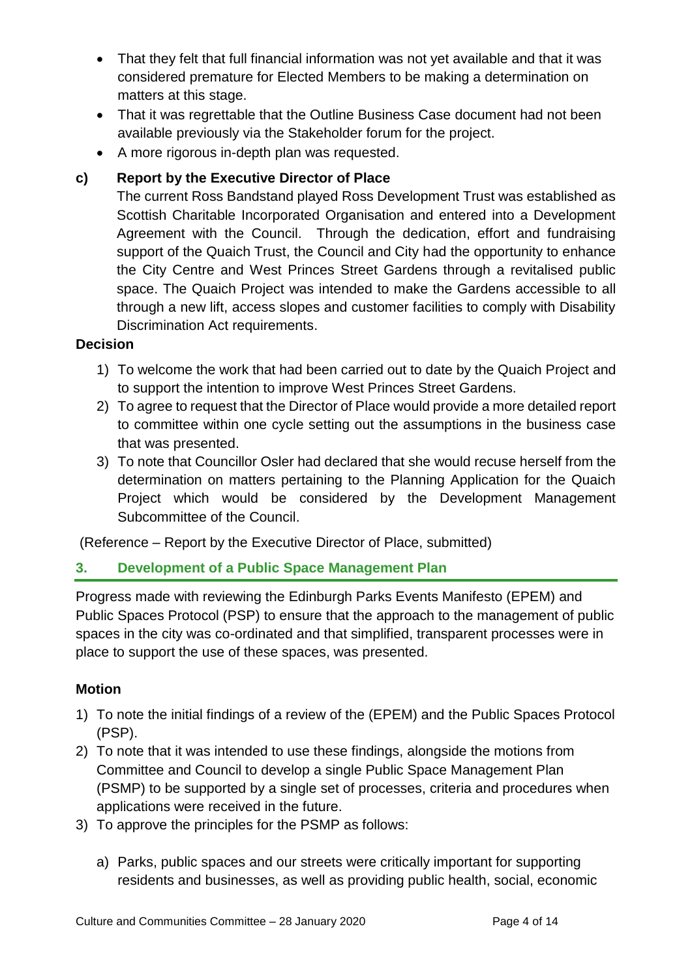- That they felt that full financial information was not yet available and that it was considered premature for Elected Members to be making a determination on matters at this stage.
- That it was regrettable that the Outline Business Case document had not been available previously via the Stakeholder forum for the project.
- A more rigorous in-depth plan was requested.

## **c) Report by the Executive Director of Place**

The current Ross Bandstand played Ross Development Trust was established as Scottish Charitable Incorporated Organisation and entered into a Development Agreement with the Council. Through the dedication, effort and fundraising support of the Quaich Trust, the Council and City had the opportunity to enhance the City Centre and West Princes Street Gardens through a revitalised public space. The Quaich Project was intended to make the Gardens accessible to all through a new lift, access slopes and customer facilities to comply with Disability Discrimination Act requirements.

#### **Decision**

- 1) To welcome the work that had been carried out to date by the Quaich Project and to support the intention to improve West Princes Street Gardens.
- 2) To agree to request that the Director of Place would provide a more detailed report to committee within one cycle setting out the assumptions in the business case that was presented.
- 3) To note that Councillor Osler had declared that she would recuse herself from the determination on matters pertaining to the Planning Application for the Quaich Project which would be considered by the Development Management Subcommittee of the Council.

(Reference – Report by the Executive Director of Place, submitted)

#### **3. Development of a Public Space Management Plan**

Progress made with reviewing the Edinburgh Parks Events Manifesto (EPEM) and Public Spaces Protocol (PSP) to ensure that the approach to the management of public spaces in the city was co-ordinated and that simplified, transparent processes were in place to support the use of these spaces, was presented.

#### **Motion**

- 1) To note the initial findings of a review of the (EPEM) and the Public Spaces Protocol (PSP).
- 2) To note that it was intended to use these findings, alongside the motions from Committee and Council to develop a single Public Space Management Plan (PSMP) to be supported by a single set of processes, criteria and procedures when applications were received in the future.
- 3) To approve the principles for the PSMP as follows:
	- a) Parks, public spaces and our streets were critically important for supporting residents and businesses, as well as providing public health, social, economic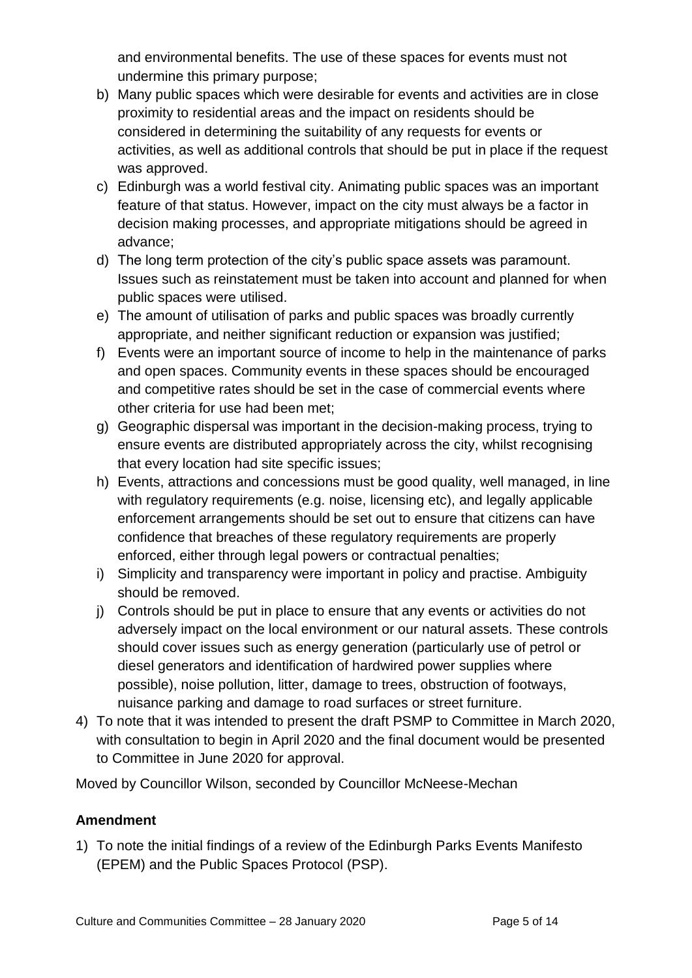and environmental benefits. The use of these spaces for events must not undermine this primary purpose;

- b) Many public spaces which were desirable for events and activities are in close proximity to residential areas and the impact on residents should be considered in determining the suitability of any requests for events or activities, as well as additional controls that should be put in place if the request was approved.
- c) Edinburgh was a world festival city. Animating public spaces was an important feature of that status. However, impact on the city must always be a factor in decision making processes, and appropriate mitigations should be agreed in advance;
- d) The long term protection of the city's public space assets was paramount. Issues such as reinstatement must be taken into account and planned for when public spaces were utilised.
- e) The amount of utilisation of parks and public spaces was broadly currently appropriate, and neither significant reduction or expansion was justified;
- f) Events were an important source of income to help in the maintenance of parks and open spaces. Community events in these spaces should be encouraged and competitive rates should be set in the case of commercial events where other criteria for use had been met;
- g) Geographic dispersal was important in the decision-making process, trying to ensure events are distributed appropriately across the city, whilst recognising that every location had site specific issues;
- h) Events, attractions and concessions must be good quality, well managed, in line with regulatory requirements (e.g. noise, licensing etc), and legally applicable enforcement arrangements should be set out to ensure that citizens can have confidence that breaches of these regulatory requirements are properly enforced, either through legal powers or contractual penalties;
- i) Simplicity and transparency were important in policy and practise. Ambiguity should be removed.
- j) Controls should be put in place to ensure that any events or activities do not adversely impact on the local environment or our natural assets. These controls should cover issues such as energy generation (particularly use of petrol or diesel generators and identification of hardwired power supplies where possible), noise pollution, litter, damage to trees, obstruction of footways, nuisance parking and damage to road surfaces or street furniture.
- 4) To note that it was intended to present the draft PSMP to Committee in March 2020, with consultation to begin in April 2020 and the final document would be presented to Committee in June 2020 for approval.

Moved by Councillor Wilson, seconded by Councillor McNeese-Mechan

#### **Amendment**

1) To note the initial findings of a review of the Edinburgh Parks Events Manifesto (EPEM) and the Public Spaces Protocol (PSP).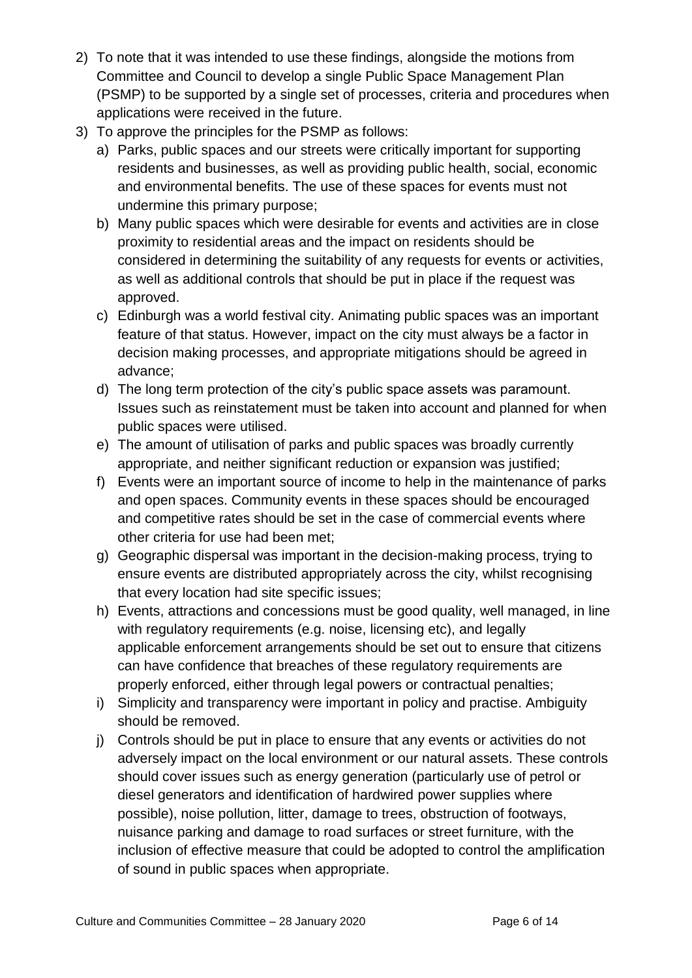- 2) To note that it was intended to use these findings, alongside the motions from Committee and Council to develop a single Public Space Management Plan (PSMP) to be supported by a single set of processes, criteria and procedures when applications were received in the future.
- 3) To approve the principles for the PSMP as follows:
	- a) Parks, public spaces and our streets were critically important for supporting residents and businesses, as well as providing public health, social, economic and environmental benefits. The use of these spaces for events must not undermine this primary purpose;
	- b) Many public spaces which were desirable for events and activities are in close proximity to residential areas and the impact on residents should be considered in determining the suitability of any requests for events or activities, as well as additional controls that should be put in place if the request was approved.
	- c) Edinburgh was a world festival city. Animating public spaces was an important feature of that status. However, impact on the city must always be a factor in decision making processes, and appropriate mitigations should be agreed in advance;
	- d) The long term protection of the city's public space assets was paramount. Issues such as reinstatement must be taken into account and planned for when public spaces were utilised.
	- e) The amount of utilisation of parks and public spaces was broadly currently appropriate, and neither significant reduction or expansion was justified;
	- f) Events were an important source of income to help in the maintenance of parks and open spaces. Community events in these spaces should be encouraged and competitive rates should be set in the case of commercial events where other criteria for use had been met;
	- g) Geographic dispersal was important in the decision-making process, trying to ensure events are distributed appropriately across the city, whilst recognising that every location had site specific issues;
	- h) Events, attractions and concessions must be good quality, well managed, in line with regulatory requirements (e.g. noise, licensing etc), and legally applicable enforcement arrangements should be set out to ensure that citizens can have confidence that breaches of these regulatory requirements are properly enforced, either through legal powers or contractual penalties;
	- i) Simplicity and transparency were important in policy and practise. Ambiguity should be removed.
	- j) Controls should be put in place to ensure that any events or activities do not adversely impact on the local environment or our natural assets. These controls should cover issues such as energy generation (particularly use of petrol or diesel generators and identification of hardwired power supplies where possible), noise pollution, litter, damage to trees, obstruction of footways, nuisance parking and damage to road surfaces or street furniture, with the inclusion of effective measure that could be adopted to control the amplification of sound in public spaces when appropriate.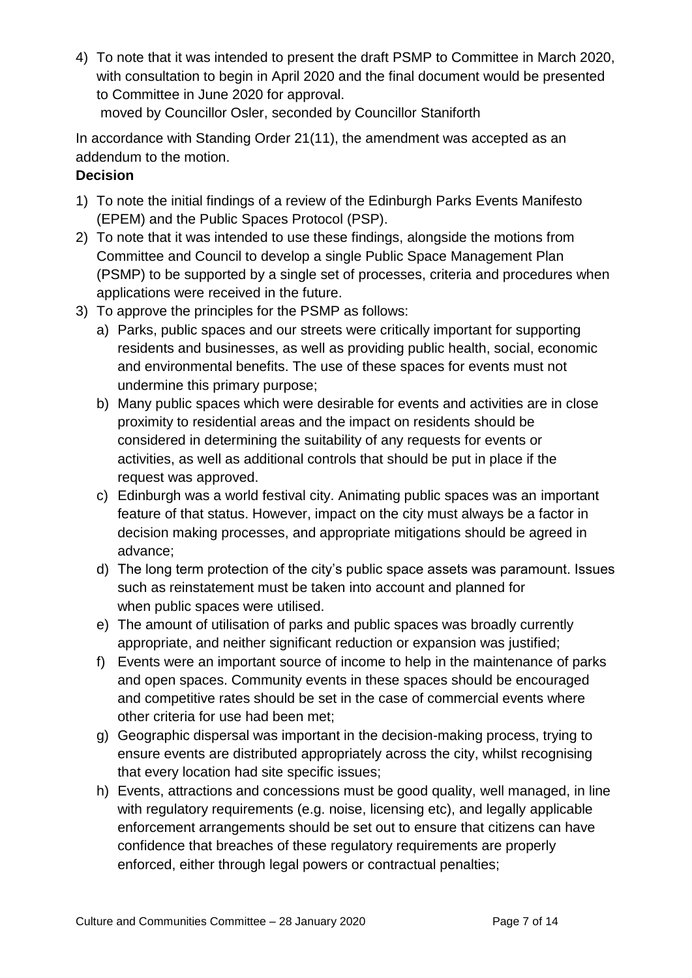4) To note that it was intended to present the draft PSMP to Committee in March 2020, with consultation to begin in April 2020 and the final document would be presented to Committee in June 2020 for approval. moved by Councillor Osler, seconded by Councillor Staniforth

In accordance with Standing Order 21(11), the amendment was accepted as an addendum to the motion.

## **Decision**

- 1) To note the initial findings of a review of the Edinburgh Parks Events Manifesto (EPEM) and the Public Spaces Protocol (PSP).
- 2) To note that it was intended to use these findings, alongside the motions from Committee and Council to develop a single Public Space Management Plan (PSMP) to be supported by a single set of processes, criteria and procedures when applications were received in the future.
- 3) To approve the principles for the PSMP as follows:
	- a) Parks, public spaces and our streets were critically important for supporting residents and businesses, as well as providing public health, social, economic and environmental benefits. The use of these spaces for events must not undermine this primary purpose;
	- b) Many public spaces which were desirable for events and activities are in close proximity to residential areas and the impact on residents should be considered in determining the suitability of any requests for events or activities, as well as additional controls that should be put in place if the request was approved.
	- c) Edinburgh was a world festival city. Animating public spaces was an important feature of that status. However, impact on the city must always be a factor in decision making processes, and appropriate mitigations should be agreed in advance;
	- d) The long term protection of the city's public space assets was paramount. Issues such as reinstatement must be taken into account and planned for when public spaces were utilised.
	- e) The amount of utilisation of parks and public spaces was broadly currently appropriate, and neither significant reduction or expansion was justified;
	- f) Events were an important source of income to help in the maintenance of parks and open spaces. Community events in these spaces should be encouraged and competitive rates should be set in the case of commercial events where other criteria for use had been met;
	- g) Geographic dispersal was important in the decision-making process, trying to ensure events are distributed appropriately across the city, whilst recognising that every location had site specific issues;
	- h) Events, attractions and concessions must be good quality, well managed, in line with regulatory requirements (e.g. noise, licensing etc), and legally applicable enforcement arrangements should be set out to ensure that citizens can have confidence that breaches of these regulatory requirements are properly enforced, either through legal powers or contractual penalties;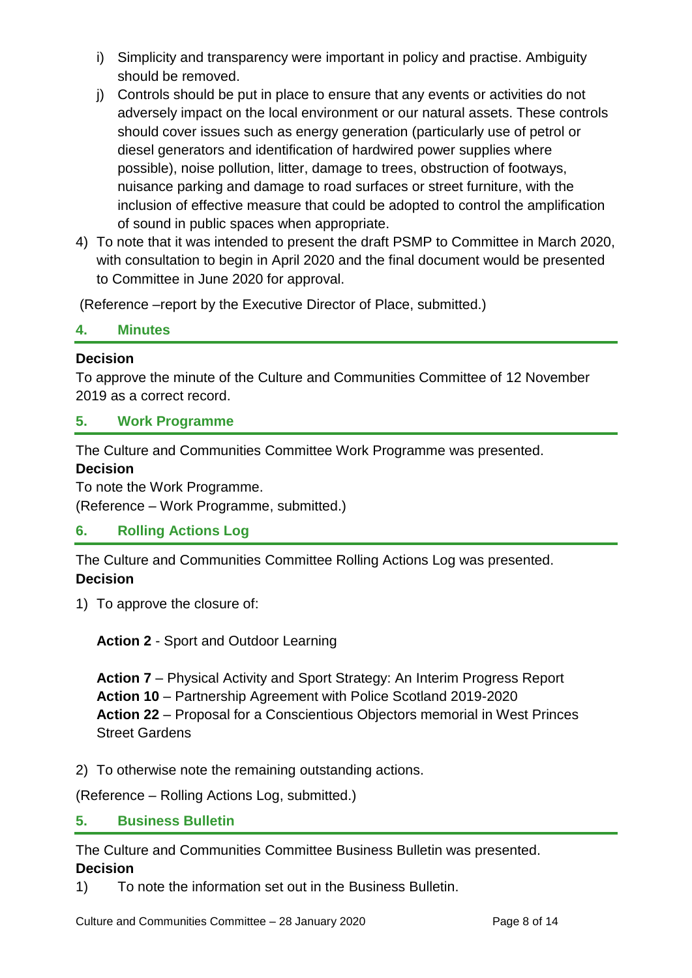- i) Simplicity and transparency were important in policy and practise. Ambiguity should be removed.
- j) Controls should be put in place to ensure that any events or activities do not adversely impact on the local environment or our natural assets. These controls should cover issues such as energy generation (particularly use of petrol or diesel generators and identification of hardwired power supplies where possible), noise pollution, litter, damage to trees, obstruction of footways, nuisance parking and damage to road surfaces or street furniture, with the inclusion of effective measure that could be adopted to control the amplification of sound in public spaces when appropriate.
- 4) To note that it was intended to present the draft PSMP to Committee in March 2020, with consultation to begin in April 2020 and the final document would be presented to Committee in June 2020 for approval.

(Reference –report by the Executive Director of Place, submitted.)

#### **4. Minutes**

#### **Decision**

To approve the minute of the Culture and Communities Committee of 12 November 2019 as a correct record.

#### **5. Work Programme**

The Culture and Communities Committee Work Programme was presented.

#### **Decision**

To note the Work Programme.

(Reference – Work Programme, submitted.)

#### **6. Rolling Actions Log**

The Culture and Communities Committee Rolling Actions Log was presented. **Decision**

1) To approve the closure of:

**Action 2** - Sport and Outdoor Learning

**Action 7** – Physical Activity and Sport Strategy: An Interim Progress Report **Action 10** – Partnership Agreement with Police Scotland 2019-2020 **Action 22** – Proposal for a Conscientious Objectors memorial in West Princes Street Gardens

2) To otherwise note the remaining outstanding actions.

(Reference – Rolling Actions Log, submitted.)

#### **5. Business Bulletin**

The Culture and Communities Committee Business Bulletin was presented.

#### **Decision**

1) To note the information set out in the Business Bulletin.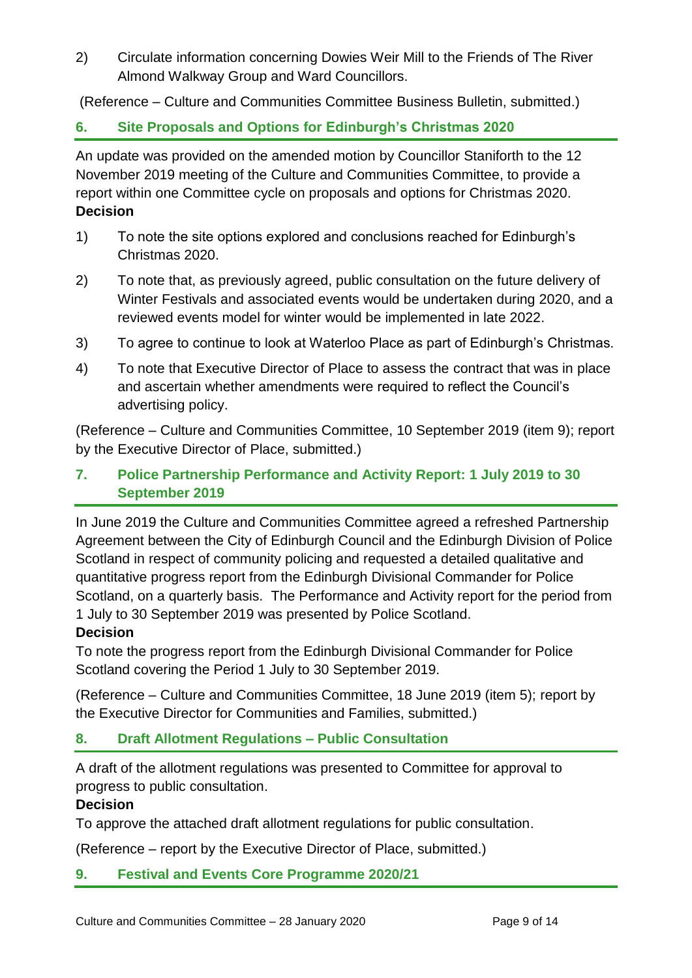2) Circulate information concerning Dowies Weir Mill to the Friends of The River Almond Walkway Group and Ward Councillors.

(Reference – Culture and Communities Committee Business Bulletin, submitted.)

## **6. Site Proposals and Options for Edinburgh's Christmas 2020**

An update was provided on the amended motion by Councillor Staniforth to the 12 November 2019 meeting of the Culture and Communities Committee, to provide a report within one Committee cycle on proposals and options for Christmas 2020. **Decision**

- 1) To note the site options explored and conclusions reached for Edinburgh's Christmas 2020.
- 2) To note that, as previously agreed, public consultation on the future delivery of Winter Festivals and associated events would be undertaken during 2020, and a reviewed events model for winter would be implemented in late 2022.
- 3) To agree to continue to look at Waterloo Place as part of Edinburgh's Christmas.
- 4) To note that Executive Director of Place to assess the contract that was in place and ascertain whether amendments were required to reflect the Council's advertising policy.

(Reference – Culture and Communities Committee, 10 September 2019 (item 9); report by the Executive Director of Place, submitted.)

## **7. Police Partnership Performance and Activity Report: 1 July 2019 to 30 September 2019**

In June 2019 the Culture and Communities Committee agreed a refreshed Partnership Agreement between the City of Edinburgh Council and the Edinburgh Division of Police Scotland in respect of community policing and requested a detailed qualitative and quantitative progress report from the Edinburgh Divisional Commander for Police Scotland, on a quarterly basis. The Performance and Activity report for the period from 1 July to 30 September 2019 was presented by Police Scotland.

#### **Decision**

To note the progress report from the Edinburgh Divisional Commander for Police Scotland covering the Period 1 July to 30 September 2019.

(Reference – Culture and Communities Committee, 18 June 2019 (item 5); report by the Executive Director for Communities and Families, submitted.)

## **8. Draft Allotment Regulations – Public Consultation**

A draft of the allotment regulations was presented to Committee for approval to progress to public consultation.

#### **Decision**

To approve the attached draft allotment regulations for public consultation.

(Reference – report by the Executive Director of Place, submitted.)

#### **9. Festival and Events Core Programme 2020/21**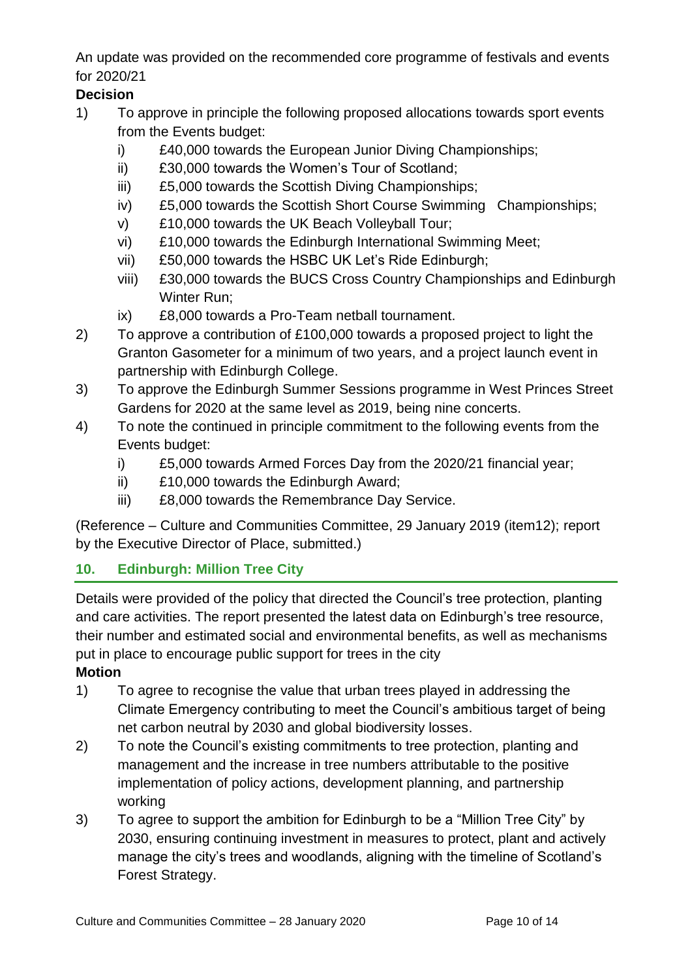An update was provided on the recommended core programme of festivals and events for 2020/21

## **Decision**

- 1) To approve in principle the following proposed allocations towards sport events from the Events budget:
	- i) £40,000 towards the European Junior Diving Championships;
	- ii) £30,000 towards the Women's Tour of Scotland;
	- iii) £5,000 towards the Scottish Diving Championships;
	- iv) £5,000 towards the Scottish Short Course Swimming Championships;
	- v) £10,000 towards the UK Beach Volleyball Tour;
	- vi) £10,000 towards the Edinburgh International Swimming Meet;
	- vii) £50,000 towards the HSBC UK Let's Ride Edinburgh;
	- viii) £30,000 towards the BUCS Cross Country Championships and Edinburgh Winter Run;
	- ix) £8,000 towards a Pro-Team netball tournament.
- 2) To approve a contribution of £100,000 towards a proposed project to light the Granton Gasometer for a minimum of two years, and a project launch event in partnership with Edinburgh College.
- 3) To approve the Edinburgh Summer Sessions programme in West Princes Street Gardens for 2020 at the same level as 2019, being nine concerts.
- 4) To note the continued in principle commitment to the following events from the Events budget:
	- i) £5,000 towards Armed Forces Day from the 2020/21 financial year;
	- ii) £10,000 towards the Edinburgh Award;
	- iii) £8,000 towards the Remembrance Day Service.

(Reference – Culture and Communities Committee, 29 January 2019 (item12); report by the Executive Director of Place, submitted.)

## **10. Edinburgh: Million Tree City**

Details were provided of the policy that directed the Council's tree protection, planting and care activities. The report presented the latest data on Edinburgh's tree resource, their number and estimated social and environmental benefits, as well as mechanisms put in place to encourage public support for trees in the city

**Motion**

- 1) To agree to recognise the value that urban trees played in addressing the Climate Emergency contributing to meet the Council's ambitious target of being net carbon neutral by 2030 and global biodiversity losses.
- 2) To note the Council's existing commitments to tree protection, planting and management and the increase in tree numbers attributable to the positive implementation of policy actions, development planning, and partnership working
- 3) To agree to support the ambition for Edinburgh to be a "Million Tree City" by 2030, ensuring continuing investment in measures to protect, plant and actively manage the city's trees and woodlands, aligning with the timeline of Scotland's Forest Strategy.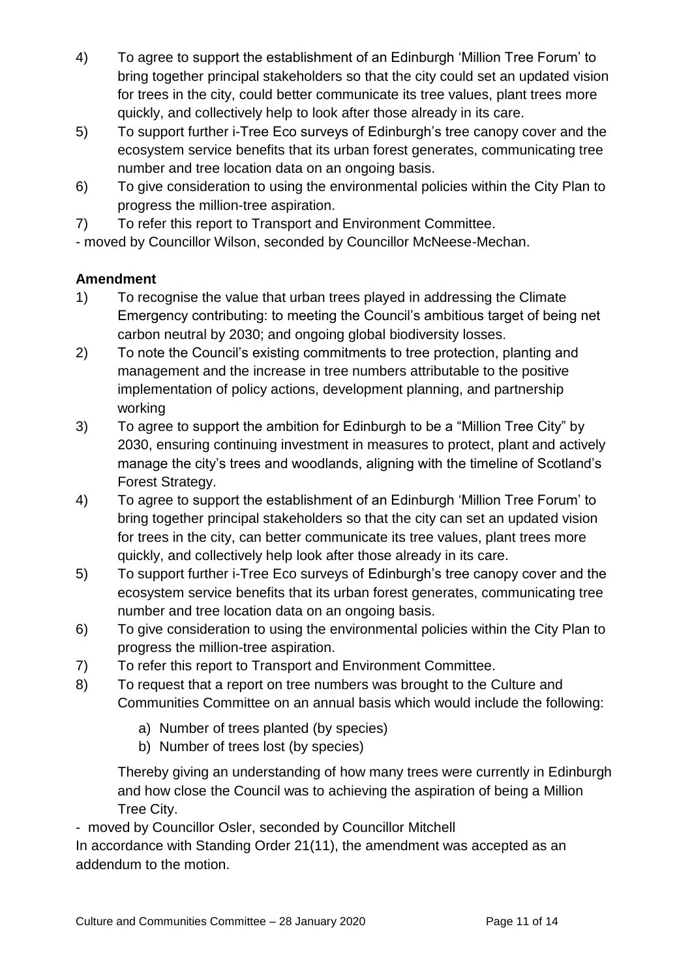- 4) To agree to support the establishment of an Edinburgh 'Million Tree Forum' to bring together principal stakeholders so that the city could set an updated vision for trees in the city, could better communicate its tree values, plant trees more quickly, and collectively help to look after those already in its care.
- 5) To support further i-Tree Eco surveys of Edinburgh's tree canopy cover and the ecosystem service benefits that its urban forest generates, communicating tree number and tree location data on an ongoing basis.
- 6) To give consideration to using the environmental policies within the City Plan to progress the million-tree aspiration.
- 7) To refer this report to Transport and Environment Committee.

- moved by Councillor Wilson, seconded by Councillor McNeese-Mechan.

## **Amendment**

- 1) To recognise the value that urban trees played in addressing the Climate Emergency contributing: to meeting the Council's ambitious target of being net carbon neutral by 2030; and ongoing global biodiversity losses.
- 2) To note the Council's existing commitments to tree protection, planting and management and the increase in tree numbers attributable to the positive implementation of policy actions, development planning, and partnership working
- 3) To agree to support the ambition for Edinburgh to be a "Million Tree City" by 2030, ensuring continuing investment in measures to protect, plant and actively manage the city's trees and woodlands, aligning with the timeline of Scotland's Forest Strategy.
- 4) To agree to support the establishment of an Edinburgh 'Million Tree Forum' to bring together principal stakeholders so that the city can set an updated vision for trees in the city, can better communicate its tree values, plant trees more quickly, and collectively help look after those already in its care.
- 5) To support further i-Tree Eco surveys of Edinburgh's tree canopy cover and the ecosystem service benefits that its urban forest generates, communicating tree number and tree location data on an ongoing basis.
- 6) To give consideration to using the environmental policies within the City Plan to progress the million-tree aspiration.
- 7) To refer this report to Transport and Environment Committee.
- 8) To request that a report on tree numbers was brought to the Culture and Communities Committee on an annual basis which would include the following:
	- a) Number of trees planted (by species)
	- b) Number of trees lost (by species)

Thereby giving an understanding of how many trees were currently in Edinburgh and how close the Council was to achieving the aspiration of being a Million Tree City.

- moved by Councillor Osler, seconded by Councillor Mitchell In accordance with Standing Order 21(11), the amendment was accepted as an addendum to the motion.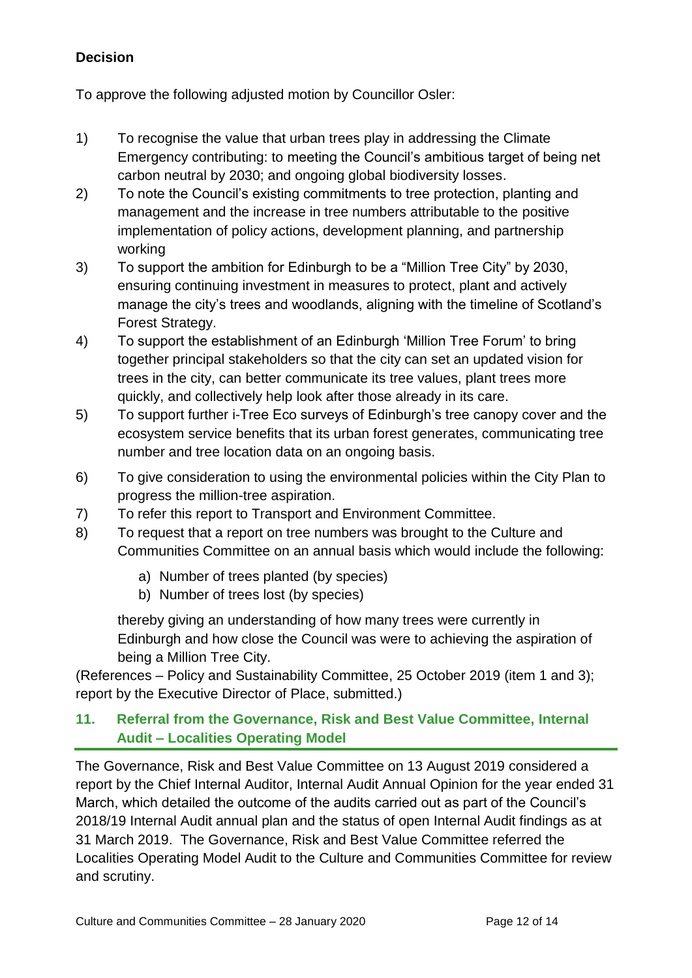## **Decision**

To approve the following adjusted motion by Councillor Osler:

- 1) To recognise the value that urban trees play in addressing the Climate Emergency contributing: to meeting the Council's ambitious target of being net carbon neutral by 2030; and ongoing global biodiversity losses.
- 2) To note the Council's existing commitments to tree protection, planting and management and the increase in tree numbers attributable to the positive implementation of policy actions, development planning, and partnership working
- 3) To support the ambition for Edinburgh to be a "Million Tree City" by 2030, ensuring continuing investment in measures to protect, plant and actively manage the city's trees and woodlands, aligning with the timeline of Scotland's Forest Strategy.
- 4) To support the establishment of an Edinburgh 'Million Tree Forum' to bring together principal stakeholders so that the city can set an updated vision for trees in the city, can better communicate its tree values, plant trees more quickly, and collectively help look after those already in its care.
- 5) To support further i-Tree Eco surveys of Edinburgh's tree canopy cover and the ecosystem service benefits that its urban forest generates, communicating tree number and tree location data on an ongoing basis.
- 6) To give consideration to using the environmental policies within the City Plan to progress the million-tree aspiration.
- 7) To refer this report to Transport and Environment Committee.
- 8) To request that a report on tree numbers was brought to the Culture and Communities Committee on an annual basis which would include the following:
	- a) Number of trees planted (by species)
	- b) Number of trees lost (by species)

thereby giving an understanding of how many trees were currently in Edinburgh and how close the Council was were to achieving the aspiration of being a Million Tree City.

(References – Policy and Sustainability Committee, 25 October 2019 (item 1 and 3); report by the Executive Director of Place, submitted.)

## **11. Referral from the Governance, Risk and Best Value Committee, Internal Audit – Localities Operating Model**

The Governance, Risk and Best Value Committee on 13 August 2019 considered a report by the Chief Internal Auditor, Internal Audit Annual Opinion for the year ended 31 March, which detailed the outcome of the audits carried out as part of the Council's 2018/19 Internal Audit annual plan and the status of open Internal Audit findings as at 31 March 2019. The Governance, Risk and Best Value Committee referred the Localities Operating Model Audit to the Culture and Communities Committee for review and scrutiny.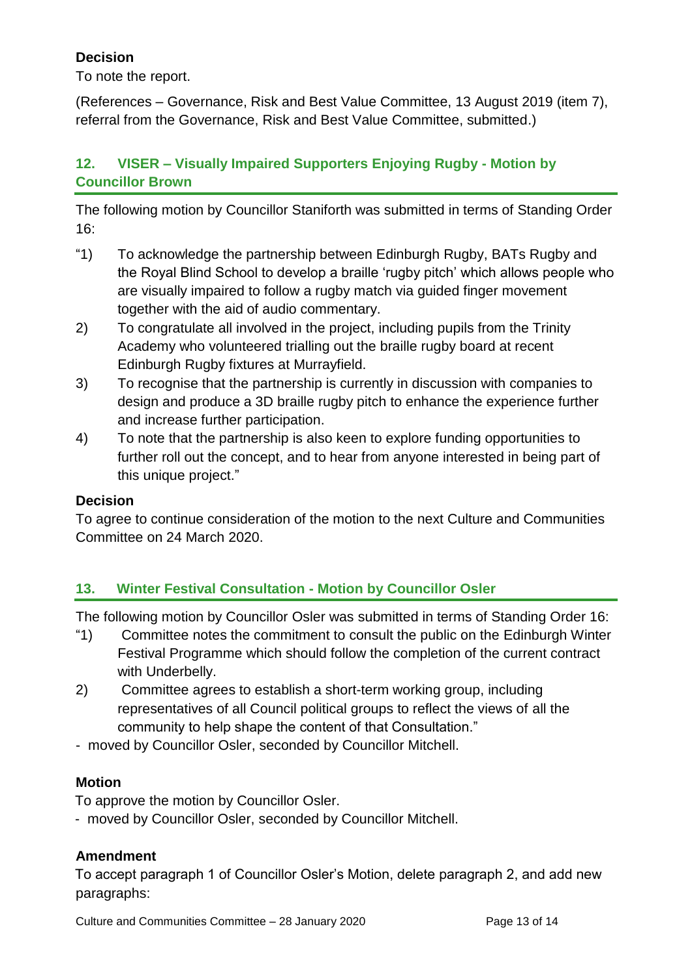## **Decision**

To note the report.

(References – Governance, Risk and Best Value Committee, 13 August 2019 (item 7), referral from the Governance, Risk and Best Value Committee, submitted.)

## **12. VISER – Visually Impaired Supporters Enjoying Rugby - Motion by Councillor Brown**

The following motion by Councillor Staniforth was submitted in terms of Standing Order 16:

- "1) To acknowledge the partnership between Edinburgh Rugby, BATs Rugby and the Royal Blind School to develop a braille 'rugby pitch' which allows people who are visually impaired to follow a rugby match via guided finger movement together with the aid of audio commentary.
- 2) To congratulate all involved in the project, including pupils from the Trinity Academy who volunteered trialling out the braille rugby board at recent Edinburgh Rugby fixtures at Murrayfield.
- 3) To recognise that the partnership is currently in discussion with companies to design and produce a 3D braille rugby pitch to enhance the experience further and increase further participation.
- 4) To note that the partnership is also keen to explore funding opportunities to further roll out the concept, and to hear from anyone interested in being part of this unique project."

## **Decision**

To agree to continue consideration of the motion to the next Culture and Communities Committee on 24 March 2020.

## **13. Winter Festival Consultation - Motion by Councillor Osler**

The following motion by Councillor Osler was submitted in terms of Standing Order 16:

- "1) Committee notes the commitment to consult the public on the Edinburgh Winter Festival Programme which should follow the completion of the current contract with Underbelly.
- 2) Committee agrees to establish a short-term working group, including representatives of all Council political groups to reflect the views of all the community to help shape the content of that Consultation."
- moved by Councillor Osler, seconded by Councillor Mitchell.

#### **Motion**

To approve the motion by Councillor Osler.

- moved by Councillor Osler, seconded by Councillor Mitchell.

#### **Amendment**

To accept paragraph 1 of Councillor Osler's Motion, delete paragraph 2, and add new paragraphs: